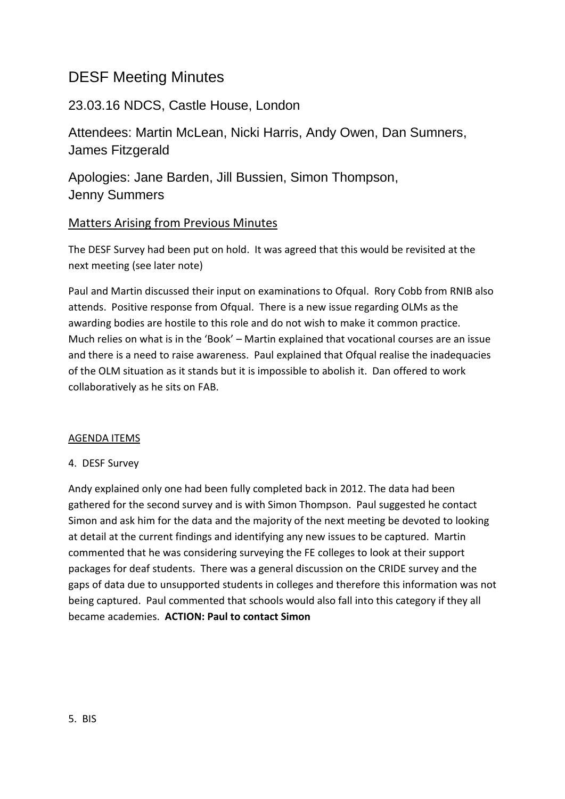# DESF Meeting Minutes

## 23.03.16 NDCS, Castle House, London

Attendees: Martin McLean, Nicki Harris, Andy Owen, Dan Sumners, James Fitzgerald

Apologies: Jane Barden, Jill Bussien, Simon Thompson, Jenny Summers

## Matters Arising from Previous Minutes

The DESF Survey had been put on hold. It was agreed that this would be revisited at the next meeting (see later note)

Paul and Martin discussed their input on examinations to Ofqual. Rory Cobb from RNIB also attends. Positive response from Ofqual. There is a new issue regarding OLMs as the awarding bodies are hostile to this role and do not wish to make it common practice. Much relies on what is in the 'Book' – Martin explained that vocational courses are an issue and there is a need to raise awareness. Paul explained that Ofqual realise the inadequacies of the OLM situation as it stands but it is impossible to abolish it. Dan offered to work collaboratively as he sits on FAB.

#### AGENDA ITEMS

## 4. DESF Survey

Andy explained only one had been fully completed back in 2012. The data had been gathered for the second survey and is with Simon Thompson. Paul suggested he contact Simon and ask him for the data and the majority of the next meeting be devoted to looking at detail at the current findings and identifying any new issues to be captured. Martin commented that he was considering surveying the FE colleges to look at their support packages for deaf students. There was a general discussion on the CRIDE survey and the gaps of data due to unsupported students in colleges and therefore this information was not being captured. Paul commented that schools would also fall into this category if they all became academies. **ACTION: Paul to contact Simon**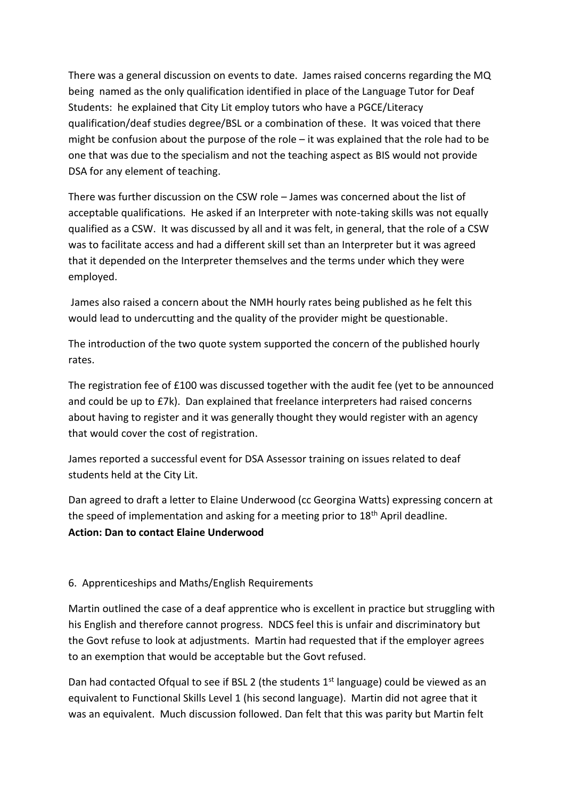There was a general discussion on events to date. James raised concerns regarding the MQ being named as the only qualification identified in place of the Language Tutor for Deaf Students: he explained that City Lit employ tutors who have a PGCE/Literacy qualification/deaf studies degree/BSL or a combination of these. It was voiced that there might be confusion about the purpose of the role – it was explained that the role had to be one that was due to the specialism and not the teaching aspect as BIS would not provide DSA for any element of teaching.

There was further discussion on the CSW role – James was concerned about the list of acceptable qualifications. He asked if an Interpreter with note-taking skills was not equally qualified as a CSW. It was discussed by all and it was felt, in general, that the role of a CSW was to facilitate access and had a different skill set than an Interpreter but it was agreed that it depended on the Interpreter themselves and the terms under which they were employed.

James also raised a concern about the NMH hourly rates being published as he felt this would lead to undercutting and the quality of the provider might be questionable.

The introduction of the two quote system supported the concern of the published hourly rates.

The registration fee of £100 was discussed together with the audit fee (yet to be announced and could be up to £7k). Dan explained that freelance interpreters had raised concerns about having to register and it was generally thought they would register with an agency that would cover the cost of registration.

James reported a successful event for DSA Assessor training on issues related to deaf students held at the City Lit.

Dan agreed to draft a letter to Elaine Underwood (cc Georgina Watts) expressing concern at the speed of implementation and asking for a meeting prior to 18th April deadline. **Action: Dan to contact Elaine Underwood**

#### 6. Apprenticeships and Maths/English Requirements

Martin outlined the case of a deaf apprentice who is excellent in practice but struggling with his English and therefore cannot progress. NDCS feel this is unfair and discriminatory but the Govt refuse to look at adjustments. Martin had requested that if the employer agrees to an exemption that would be acceptable but the Govt refused.

Dan had contacted Ofqual to see if BSL 2 (the students  $1<sup>st</sup>$  language) could be viewed as an equivalent to Functional Skills Level 1 (his second language). Martin did not agree that it was an equivalent. Much discussion followed. Dan felt that this was parity but Martin felt